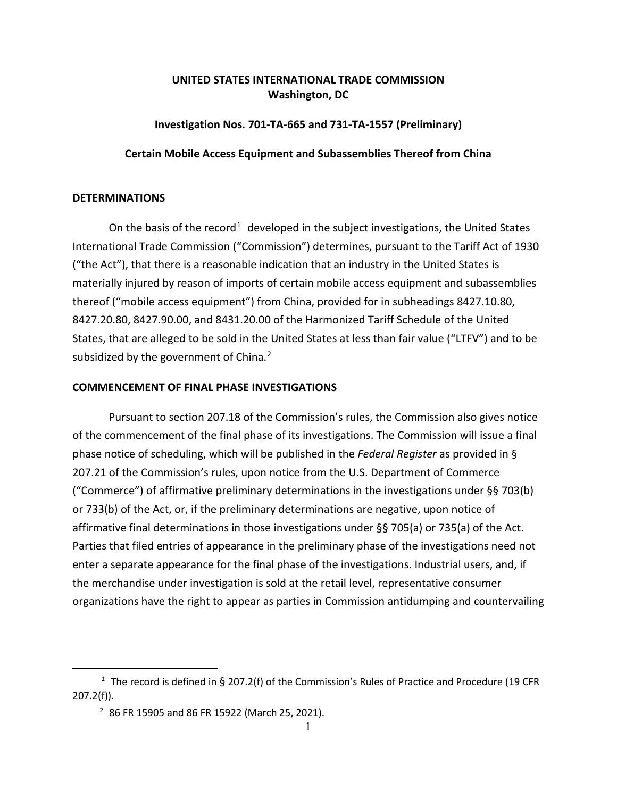# **UNITED STATES INTERNATIONAL TRADE COMMISSION Washington, DC**

## **Investigation Nos. 701-TA-665 and 731-TA-1557 (Preliminary)**

## **Certain Mobile Access Equipment and Subassemblies Thereof from China**

#### **DETERMINATIONS**

On the basis of the record<sup>[1](#page-0-0)</sup> developed in the subject investigations, the United States International Trade Commission ("Commission") determines, pursuant to the Tariff Act of 1930 ("the Act"), that there is a reasonable indication that an industry in the United States is materially injured by reason of imports of certain mobile access equipment and subassemblies thereof ("mobile access equipment") from China, provided for in subheadings 8427.10.80, 8427.20.80, 8427.90.00, and 8431.20.00 of the Harmonized Tariff Schedule of the United States, that are alleged to be sold in the United States at less than fair value ("LTFV") and to be subsidized by the government of China.<sup>[2](#page-0-1)</sup>

## **COMMENCEMENT OF FINAL PHASE INVESTIGATIONS**

Pursuant to section 207.18 of the Commission's rules, the Commission also gives notice of the commencement of the final phase of its investigations. The Commission will issue a final phase notice of scheduling, which will be published in the *Federal Register* as provided in § 207.21 of the Commission's rules, upon notice from the U.S. Department of Commerce ("Commerce") of affirmative preliminary determinations in the investigations under §§ 703(b) or 733(b) of the Act, or, if the preliminary determinations are negative, upon notice of affirmative final determinations in those investigations under §§ 705(a) or 735(a) of the Act. Parties that filed entries of appearance in the preliminary phase of the investigations need not enter a separate appearance for the final phase of the investigations. Industrial users, and, if the merchandise under investigation is sold at the retail level, representative consumer organizations have the right to appear as parties in Commission antidumping and countervailing

<span id="page-0-1"></span><span id="page-0-0"></span><sup>&</sup>lt;sup>1</sup> The record is defined in § 207.2(f) of the Commission's Rules of Practice and Procedure (19 CFR 207.2(f)).

 $2$  86 FR 15905 and 86 FR 15922 (March 25, 2021).